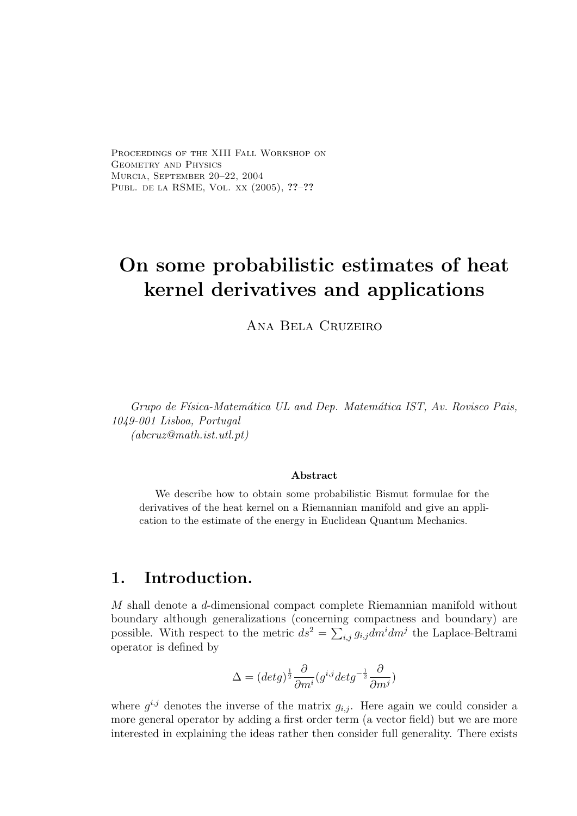Proceedings of the XIII Fall Workshop on GEOMETRY AND PHYSICS Murcia, September 20–22, 2004 Publ. de la RSME, Vol. xx (2005), ??–??

# On some probabilistic estimates of heat kernel derivatives and applications

Ana Bela Cruzeiro

Grupo de Física-Matemática UL and Dep. Matemática IST, Av. Rovisco Pais, 1049-001 Lisboa, Portugal  $(abcruz@math.it.utl.pt)$ 

#### Abstract

We describe how to obtain some probabilistic Bismut formulae for the derivatives of the heat kernel on a Riemannian manifold and give an application to the estimate of the energy in Euclidean Quantum Mechanics.

# 1. Introduction.

M shall denote a d-dimensional compact complete Riemannian manifold without boundary although generalizations (concerning compactness and boundary) are possible. With respect to the metric  $ds^2 = \sum_{i,j} g_{i,j} dm^i dm^j$  the Laplace-Beltrami operator is defined by

$$
\Delta = (det g)^{\frac{1}{2}} \frac{\partial}{\partial m^i} (g^{i,j} det g^{-\frac{1}{2}} \frac{\partial}{\partial m^j})
$$

where  $g^{i,j}$  denotes the inverse of the matrix  $g_{i,j}$ . Here again we could consider a more general operator by adding a first order term (a vector field) but we are more interested in explaining the ideas rather then consider full generality. There exists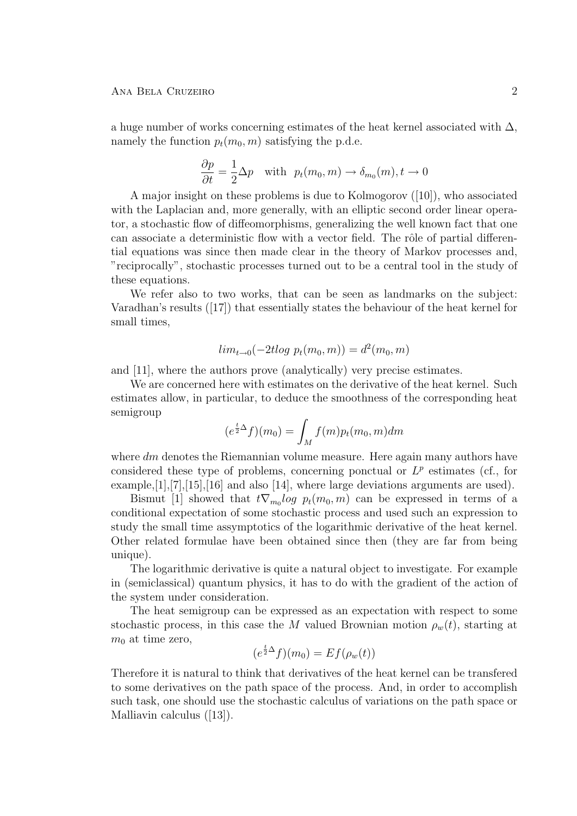a huge number of works concerning estimates of the heat kernel associated with  $\Delta$ , namely the function  $p_t(m_0, m)$  satisfying the p.d.e.

$$
\frac{\partial p}{\partial t} = \frac{1}{2} \Delta p \quad \text{with} \quad p_t(m_0, m) \to \delta_{m_0}(m), t \to 0
$$

A major insight on these problems is due to Kolmogorov ([10]), who associated with the Laplacian and, more generally, with an elliptic second order linear operator, a stochastic flow of diffeomorphisms, generalizing the well known fact that one can associate a deterministic flow with a vector field. The rôle of partial differential equations was since then made clear in the theory of Markov processes and, "reciprocally", stochastic processes turned out to be a central tool in the study of these equations.

We refer also to two works, that can be seen as landmarks on the subject: Varadhan's results ([17]) that essentially states the behaviour of the heat kernel for small times,

$$
lim_{t \to 0}(-2t \log p_t(m_0, m)) = d^2(m_0, m)
$$

and [11], where the authors prove (analytically) very precise estimates.

We are concerned here with estimates on the derivative of the heat kernel. Such estimates allow, in particular, to deduce the smoothness of the corresponding heat semigroup

$$
(e^{\frac{t}{2}\Delta}f)(m_0) = \int_M f(m)p_t(m_0, m)dm
$$

where  $dm$  denotes the Riemannian volume measure. Here again many authors have considered these type of problems, concerning ponctual or  $L^p$  estimates (cf., for example,[1],[7],[15],[16] and also [14], where large deviations arguments are used).

Bismut [1] showed that  $t\nabla_{m_0}log p_t(m_0, m)$  can be expressed in terms of a conditional expectation of some stochastic process and used such an expression to study the small time assymptotics of the logarithmic derivative of the heat kernel. Other related formulae have been obtained since then (they are far from being unique).

The logarithmic derivative is quite a natural object to investigate. For example in (semiclassical) quantum physics, it has to do with the gradient of the action of the system under consideration.

The heat semigroup can be expressed as an expectation with respect to some stochastic process, in this case the M valued Brownian motion  $\rho_w(t)$ , starting at  $m_0$  at time zero,

$$
(e^{\frac{t}{2}\Delta}f)(m_0) = Ef(\rho_w(t))
$$

Therefore it is natural to think that derivatives of the heat kernel can be transfered to some derivatives on the path space of the process. And, in order to accomplish such task, one should use the stochastic calculus of variations on the path space or Malliavin calculus ([13]).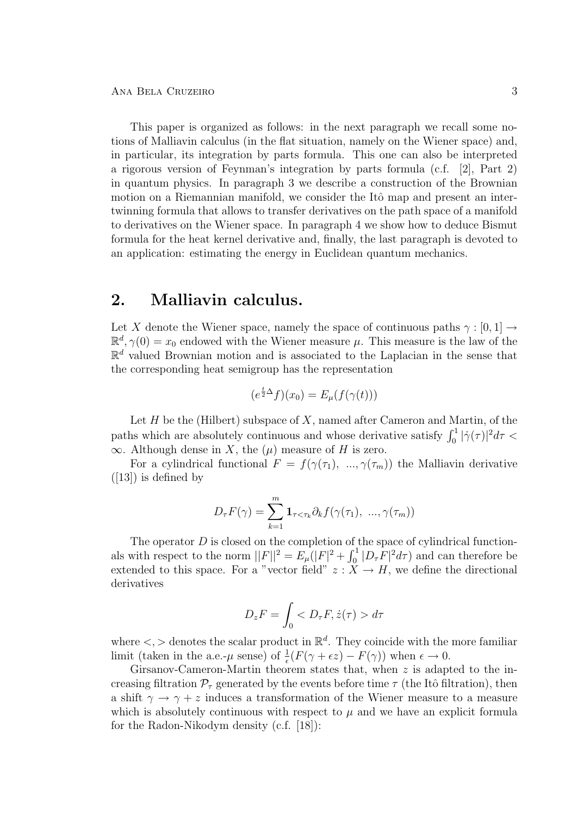This paper is organized as follows: in the next paragraph we recall some notions of Malliavin calculus (in the flat situation, namely on the Wiener space) and, in particular, its integration by parts formula. This one can also be interpreted a rigorous version of Feynman's integration by parts formula (c.f. [2], Part 2) in quantum physics. In paragraph 3 we describe a construction of the Brownian motion on a Riemannian manifold, we consider the Itô map and present an intertwinning formula that allows to transfer derivatives on the path space of a manifold to derivatives on the Wiener space. In paragraph 4 we show how to deduce Bismut formula for the heat kernel derivative and, finally, the last paragraph is devoted to an application: estimating the energy in Euclidean quantum mechanics.

### 2. Malliavin calculus.

Let X denote the Wiener space, namely the space of continuous paths  $\gamma : [0, 1] \rightarrow$  $\mathbb{R}^d$ ,  $\gamma(0) = x_0$  endowed with the Wiener measure  $\mu$ . This measure is the law of the  $\mathbb{R}^d$  valued Brownian motion and is associated to the Laplacian in the sense that the corresponding heat semigroup has the representation

$$
(e^{\frac{t}{2}\Delta}f)(x_0) = E_{\mu}(f(\gamma(t)))
$$

Let  $H$  be the (Hilbert) subspace of  $X$ , named after Cameron and Martin, of the paths which are absolutely continuous and whose derivative satisfy  $\int_0^1 |\dot{\gamma}(\tau)|^2 d\tau$  $\infty$ . Although dense in X, the  $(\mu)$  measure of H is zero.

For a cylindrical functional  $F = f(\gamma(\tau_1), \ldots, \gamma(\tau_m))$  the Malliavin derivative  $([13])$  is defined by

$$
D_{\tau}F(\gamma) = \sum_{k=1}^{m} \mathbf{1}_{\tau < \tau_k} \partial_k f(\gamma(\tau_1), \dots, \gamma(\tau_m))
$$

The operator  $D$  is closed on the completion of the space of cylindrical functionals with respect to the norm  $||F||^2 = E_\mu(|F|^2 + \int_0^1 |D_\tau \overline{F}|^2 d\tau)$  and can therefore be extended to this space. For a "vector field"  $z : X \to H$ , we define the directional derivatives

$$
D_z F = \int_0 < D_\tau F, \dot{z}(\tau) > d\tau
$$

where  $\langle \cdot, \cdot \rangle$  denotes the scalar product in  $\mathbb{R}^d$ . They coincide with the more familiar limit (taken in the a.e.- $\mu$  sense) of  $\frac{1}{\epsilon}(F(\gamma + \epsilon z) - F(\gamma))$  when  $\epsilon \to 0$ .

Girsanov-Cameron-Martin theorem states that, when z is adapted to the increasing filtration  $\mathcal{P}_{\tau}$  generated by the events before time  $\tau$  (the Itô filtration), then a shift  $\gamma \to \gamma + z$  induces a transformation of the Wiener measure to a measure which is absolutely continuous with respect to  $\mu$  and we have an explicit formula for the Radon-Nikodym density (c.f. [18]):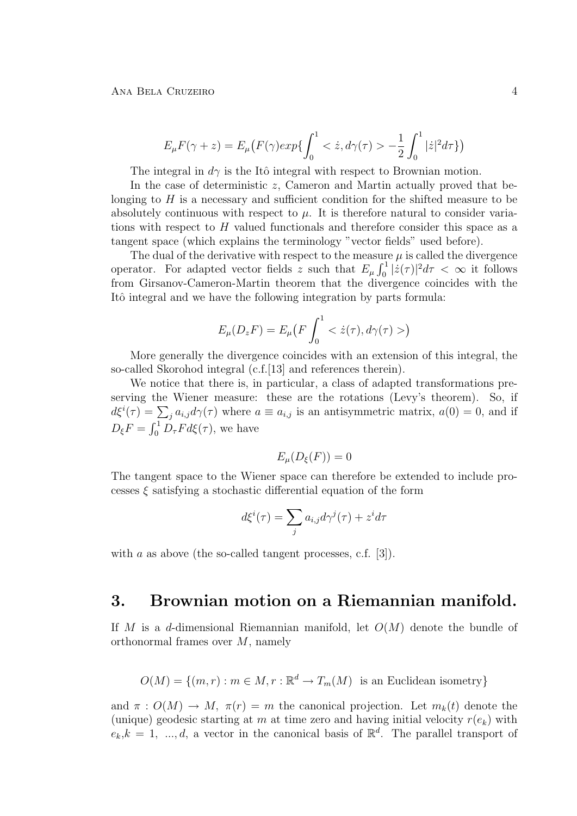Ana Bela Cruzeiro 4

$$
E_{\mu}F(\gamma + z) = E_{\mu}\left(F(\gamma)exp\{\int_0^1 \langle z, d\gamma(\tau) \rangle - \frac{1}{2} \int_0^1 |\dot{z}|^2 d\tau\}\right)
$$

The integral in  $d\gamma$  is the Itô integral with respect to Brownian motion.

In the case of deterministic  $z$ , Cameron and Martin actually proved that belonging to  $H$  is a necessary and sufficient condition for the shifted measure to be absolutely continuous with respect to  $\mu$ . It is therefore natural to consider variations with respect to  $H$  valued functionals and therefore consider this space as a tangent space (which explains the terminology "vector fields" used before).

The dual of the derivative with respect to the measure  $\mu$  is called the divergence operator. For adapted vector fields z such that  $E_{\mu} \int_0^1 |\dot{z}(\tau)|^2 d\tau < \infty$  it follows from Girsanov-Cameron-Martin theorem that the divergence coincides with the Itô integral and we have the following integration by parts formula:

$$
E_{\mu}(D_z F) = E_{\mu}\big(F \int_0^1 \langle \dot{z}(\tau), d\gamma(\tau) \rangle \big)
$$

More generally the divergence coincides with an extension of this integral, the so-called Skorohod integral (c.f.[13] and references therein).

We notice that there is, in particular, a class of adapted transformations preserving the Wiener measure: these are the rotations (Levy's theorem). So, if  $d\xi^{i}(\tau) = \sum_{j} a_{i,j} d\gamma(\tau)$  where  $a \equiv a_{i,j}$  is an antisymmetric matrix,  $a(0) = 0$ , and if  $D_{\xi}F = \int_0^1 D_{\tau}F d\xi(\tau)$ , we have

$$
E_{\mu}(D_{\xi}(F))=0
$$

The tangent space to the Wiener space can therefore be extended to include processes  $\xi$  satisfying a stochastic differential equation of the form

$$
d\xi^{i}(\tau) = \sum_{j} a_{i,j} d\gamma^{j}(\tau) + z^{i} d\tau
$$

with a as above (the so-called tangent processes, c.f. [3]).

### 3. Brownian motion on a Riemannian manifold.

If M is a d-dimensional Riemannian manifold, let  $O(M)$  denote the bundle of orthonormal frames over M, namely

$$
O(M) = \{(m, r) : m \in M, r : \mathbb{R}^d \to T_m(M) \text{ is an Euclidean isometry}\}
$$

and  $\pi: O(M) \to M$ ,  $\pi(r) = m$  the canonical projection. Let  $m_k(t)$  denote the (unique) geodesic starting at m at time zero and having initial velocity  $r(e_k)$  with  $e_k, k = 1, ..., d$ , a vector in the canonical basis of  $\mathbb{R}^d$ . The parallel transport of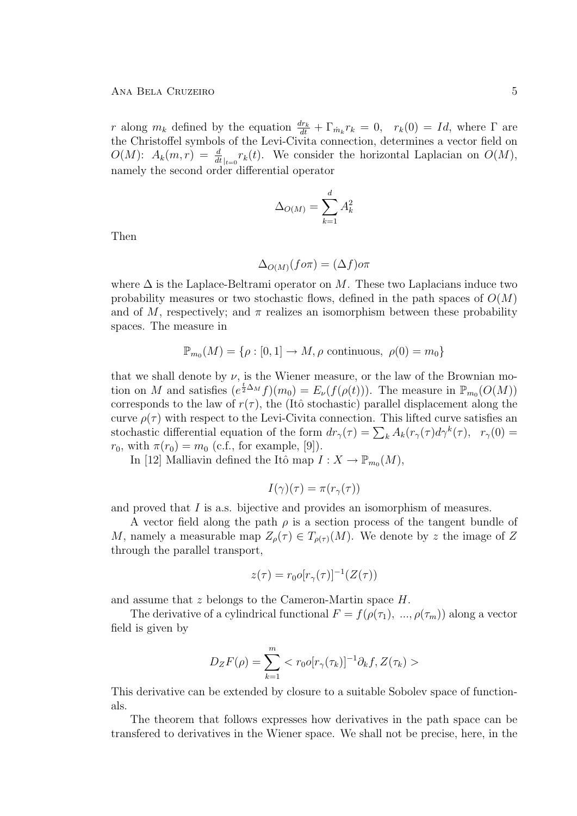#### Ana Bela Cruzeiro 5

r along  $m_k$  defined by the equation  $\frac{dr_k}{dt} + \Gamma_{m_k} r_k = 0$ ,  $r_k(0) = Id$ , where  $\Gamma$  are the Christoffel symbols of the Levi-Civita connection, determines a vector field on  $O(M)$ :  $A_k(m,r) = \frac{d}{dt}_{|t=0} r_k(t)$ . We consider the horizontal Laplacian on  $O(M)$ , namely the second order differential operator

$$
\Delta_{O(M)} = \sum_{k=1}^{d} A_k^2
$$

Then

$$
\Delta_{O(M)}(f\circ\pi) = (\Delta f)\circ\pi
$$

where  $\Delta$  is the Laplace-Beltrami operator on M. These two Laplacians induce two probability measures or two stochastic flows, defined in the path spaces of  $O(M)$ and of M, respectively; and  $\pi$  realizes an isomorphism between these probability spaces. The measure in

$$
\mathbb{P}_{m_0}(M) = \{ \rho : [0,1] \to M, \rho \text{ continuous}, \ \rho(0) = m_0 \}
$$

that we shall denote by  $\nu$ , is the Wiener measure, or the law of the Brownian motion on M and satisfies  $(e^{\frac{t}{2}\Delta_M}f)(m_0) = E_{\nu}(f(\rho(t)))$ . The measure in  $\mathbb{P}_{m_0}(O(M))$ corresponds to the law of  $r(\tau)$ , the (Itô stochastic) parallel displacement along the curve  $\rho(\tau)$  with respect to the Levi-Civita connection. This lifted curve satisfies an stochastic differential equation of the form  $dr_{\gamma}(\tau) = \sum_{k} A_k(r_{\gamma}(\tau) d\gamma^{k}(\tau), r_{\gamma}(0))$  $r_0$ , with  $\pi(r_0) = m_0$  (c.f., for example, [9]).

In [12] Malliavin defined the Itô map  $I: X \to \mathbb{P}_{m_0}(M)$ ,

$$
I(\gamma)(\tau) = \pi(r_{\gamma}(\tau))
$$

and proved that I is a.s. bijective and provides an isomorphism of measures.

A vector field along the path  $\rho$  is a section process of the tangent bundle of M, namely a measurable map  $Z_{\rho}(\tau) \in T_{\rho(\tau)}(M)$ . We denote by z the image of Z through the parallel transport,

$$
z(\tau) = r_0 o[r_\gamma(\tau)]^{-1}(Z(\tau))
$$

and assume that z belongs to the Cameron-Martin space H.

The derivative of a cylindrical functional  $F = f(\rho(\tau_1), \ldots, \rho(\tau_m))$  along a vector field is given by

$$
D_{Z}F(\rho) = \sum_{k=1}^{m} \langle r_0 o[r_{\gamma}(\tau_k)]^{-1} \partial_k f, Z(\tau_k) \rangle
$$

This derivative can be extended by closure to a suitable Sobolev space of functionals.

The theorem that follows expresses how derivatives in the path space can be transfered to derivatives in the Wiener space. We shall not be precise, here, in the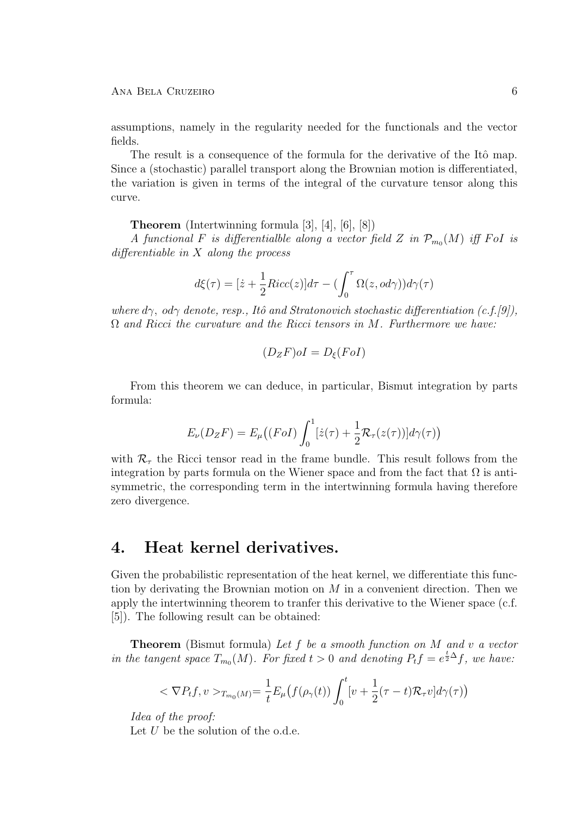#### Ana Bela Cruzeiro 6

assumptions, namely in the regularity needed for the functionals and the vector fields.

The result is a consequence of the formula for the derivative of the Itô map. Since a (stochastic) parallel transport along the Brownian motion is differentiated, the variation is given in terms of the integral of the curvature tensor along this curve.

Theorem (Intertwinning formula [3], [4], [6], [8])

A functional F is differentialble along a vector field Z in  $\mathcal{P}_{m_0}(M)$  iff FoI is differentiable in X along the process

$$
d\xi(\tau) = [\dot{z} + \frac{1}{2}Ricc(z)]d\tau - (\int_0^{\tau} \Omega(z, od\gamma))d\gamma(\tau)
$$

where  $d\gamma$ , od $\gamma$  denote, resp., Itô and Stratonovich stochastic differentiation (c.f.[9]),  $\Omega$  and Ricci the curvature and the Ricci tensors in M. Furthermore we have:

$$
(D_ZF)oI = D_{\xi}(FoI)
$$

From this theorem we can deduce, in particular, Bismut integration by parts formula:

$$
E_{\nu}(D_{Z}F) = E_{\mu}((F o I) \int_0^1 [\dot{z}(\tau) + \frac{1}{2} \mathcal{R}_{\tau}(z(\tau))] d\gamma(\tau))
$$

with  $\mathcal{R}_{\tau}$  the Ricci tensor read in the frame bundle. This result follows from the integration by parts formula on the Wiener space and from the fact that  $\Omega$  is antisymmetric, the corresponding term in the intertwinning formula having therefore zero divergence.

### 4. Heat kernel derivatives.

Given the probabilistic representation of the heat kernel, we differentiate this function by derivating the Brownian motion on  $M$  in a convenient direction. Then we apply the intertwinning theorem to tranfer this derivative to the Wiener space (c.f. [5]). The following result can be obtained:

**Theorem** (Bismut formula) Let f be a smooth function on M and v a vector in the tangent space  $T_{m_0}(M)$ . For fixed  $t > 0$  and denoting  $P_t f = e^{\frac{t}{2}\Delta} f$ , we have:

$$
<\nabla P_t f, v>_{T_{m_0}(M)} = \frac{1}{t} E_\mu\big(f(\rho_\gamma(t))\int_0^t [v + \frac{1}{2}(\tau - t)\mathcal{R}_\tau v]d\gamma(\tau)\big)
$$

Idea of the proof:

Let  $U$  be the solution of the o.d.e.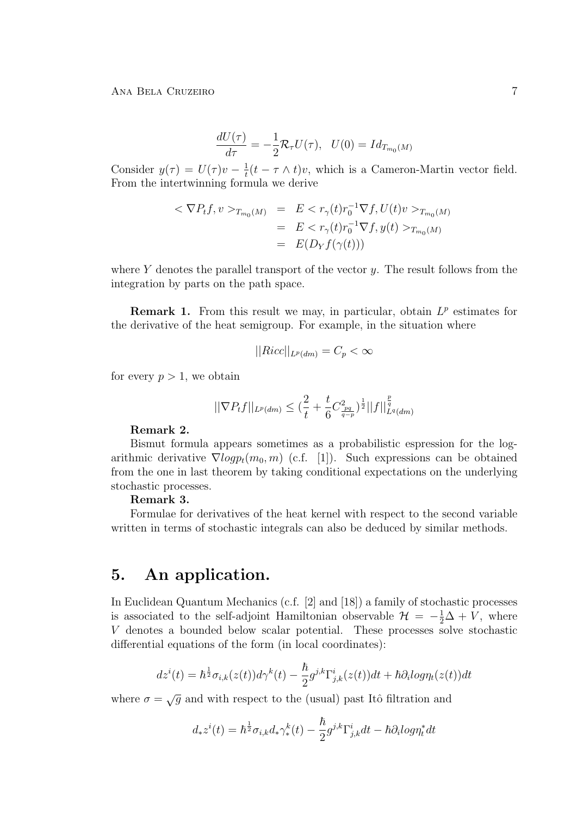$$
\frac{dU(\tau)}{d\tau} = -\frac{1}{2} \mathcal{R}_{\tau} U(\tau), \quad U(0) = Id_{T_{m_0}(M)}
$$

Consider  $y(\tau) = U(\tau)v - \frac{1}{t}$  $\frac{1}{t}(t - \tau \wedge t)v$ , which is a Cameron-Martin vector field. From the intertwinning formula we derive

$$
<\nabla P_t f, v>_{T_{m_0}(M)} = E < r_{\gamma}(t)r_0^{-1}\nabla f, U(t)v>_{T_{m_0}(M)}
$$
  
\n $= E < r_{\gamma}(t)r_0^{-1}\nabla f, y(t)>_{T_{m_0}(M)}$   
\n $= E(D_Y f(\gamma(t)))$ 

where  $Y$  denotes the parallel transport of the vector  $y$ . The result follows from the integration by parts on the path space.

**Remark 1.** From this result we may, in particular, obtain  $L^p$  estimates for the derivative of the heat semigroup. For example, in the situation where

$$
||Ricc||_{L^p(dm)} = C_p < \infty
$$

for every  $p > 1$ , we obtain

$$
||\nabla P_t f||_{L^p(dm)} \leq \left(\frac{2}{t} + \frac{t}{6}C_{\frac{pq}{q-p}}^2\right)^{\frac{1}{2}}||f||_{L^q(dm)}^{\frac{p}{q}}
$$

#### Remark 2.

Bismut formula appears sometimes as a probabilistic espression for the logarithmic derivative  $\nabla log p_t(m_0, m)$  (c.f. [1]). Such expressions can be obtained from the one in last theorem by taking conditional expectations on the underlying stochastic processes.

#### Remark 3.

Formulae for derivatives of the heat kernel with respect to the second variable written in terms of stochastic integrals can also be deduced by similar methods.

## 5. An application.

In Euclidean Quantum Mechanics (c.f. [2] and [18]) a family of stochastic processes is associated to the self-adjoint Hamiltonian observable  $\mathcal{H} = -\frac{1}{2}\Delta + V$ , where V denotes a bounded below scalar potential. These processes solve stochastic differential equations of the form (in local coordinates):

$$
dz^i(t)=\hbar^{\frac{1}{2}}\sigma_{i,k}(z(t))d\gamma^k(t)-\frac{\hbar}{2}g^{j,k}\Gamma^i_{j,k}(z(t))dt+\hbar\partial_ilog\eta_t(z(t))dt
$$

where  $\sigma = \sqrt{g}$  and with respect to the (usual) past Itô filtration and

$$
d_* z^i(t) = \hbar^{\frac{1}{2}} \sigma_{i,k} d_* \gamma_*^k(t) - \frac{\hbar}{2} g^{j,k} \Gamma_{j,k}^i dt - \hbar \partial_i log \eta_t^* dt
$$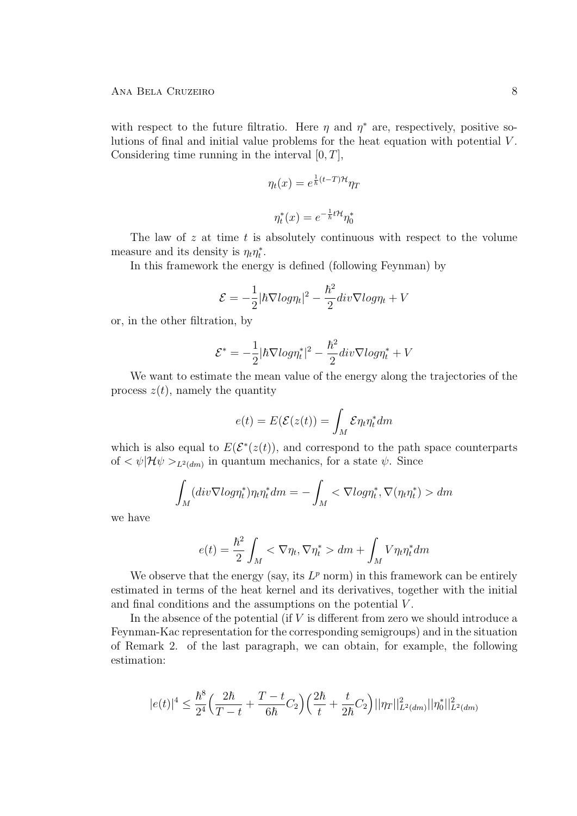with respect to the future filtratio. Here  $\eta$  and  $\eta^*$  are, respectively, positive solutions of final and initial value problems for the heat equation with potential V . Considering time running in the interval  $[0, T]$ ,

$$
\eta_t(x) = e^{\frac{1}{\hbar}(t-T)\mathcal{H}} \eta_T
$$

$$
\eta_t^*(x) = e^{-\frac{1}{\hbar}t\mathcal{H}} \eta_0^*
$$

The law of  $z$  at time  $t$  is absolutely continuous with respect to the volume measure and its density is  $\eta_t \eta_t^*$ .

In this framework the energy is defined (following Feynman) by

$$
\mathcal{E} = -\frac{1}{2} |\hbar \nabla \log n_t|^2 - \frac{\hbar^2}{2} \operatorname{div} \nabla \log n_t + V
$$

or, in the other filtration, by

$$
\mathcal{E}^* = -\frac{1}{2}|\hbar\nabla log\eta_t^*|^2 - \frac{\hbar^2}{2}div\nabla log\eta_t^* + V
$$

We want to estimate the mean value of the energy along the trajectories of the process  $z(t)$ , namely the quantity

$$
e(t) = E(\mathcal{E}(z(t))) = \int_M \mathcal{E} \eta_t \eta_t^* dm
$$

which is also equal to  $E(\mathcal{E}^*(z(t)))$ , and correspond to the path space counterparts of  $\langle \psi | \mathcal{H} \psi \rangle_{L^2(dm)}$  in quantum mechanics, for a state  $\psi$ . Since

$$
\int_M (div \nabla log \eta_t^*) \eta_t \eta_t^* dm = -\int_M < \nabla log \eta_t^*, \nabla (\eta_t \eta_t^*) > dm
$$

we have

$$
e(t) = \frac{\hbar^2}{2} \int_M < \nabla \eta_t, \nabla \eta_t^* > dm + \int_M V \eta_t \eta_t^* dm
$$

We observe that the energy (say, its  $L^p$  norm) in this framework can be entirely estimated in terms of the heat kernel and its derivatives, together with the initial and final conditions and the assumptions on the potential V .

In the absence of the potential (if  $V$  is different from zero we should introduce a Feynman-Kac representation for the corresponding semigroups) and in the situation of Remark 2. of the last paragraph, we can obtain, for example, the following estimation:

$$
|e(t)|^4 \leq \frac{\hbar^8}{2^4} \Big( \frac{2\hbar}{T-t} + \frac{T-t}{6\hbar} C_2 \Big) \Big( \frac{2\hbar}{t} + \frac{t}{2\hbar} C_2 \Big) ||\eta_T||^2_{L^2(dm)} ||\eta_0^*||^2_{L^2(dm)}
$$